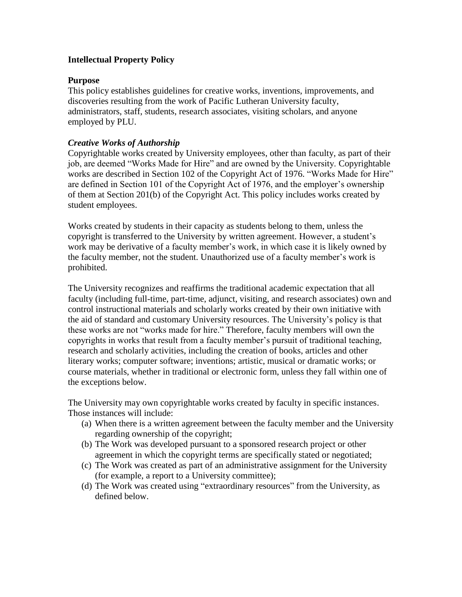# **Intellectual Property Policy**

## **Purpose**

This policy establishes guidelines for creative works, inventions, improvements, and discoveries resulting from the work of Pacific Lutheran University faculty, administrators, staff, students, research associates, visiting scholars, and anyone employed by PLU.

## *Creative Works of Authorship*

Copyrightable works created by University employees, other than faculty, as part of their job, are deemed "Works Made for Hire" and are owned by the University. Copyrightable works are described in Section 102 of the Copyright Act of 1976. "Works Made for Hire" are defined in Section 101 of the Copyright Act of 1976, and the employer's ownership of them at Section 201(b) of the Copyright Act. This policy includes works created by student employees.

Works created by students in their capacity as students belong to them, unless the copyright is transferred to the University by written agreement. However, a student's work may be derivative of a faculty member's work, in which case it is likely owned by the faculty member, not the student. Unauthorized use of a faculty member's work is prohibited.

The University recognizes and reaffirms the traditional academic expectation that all faculty (including full-time, part-time, adjunct, visiting, and research associates) own and control instructional materials and scholarly works created by their own initiative with the aid of standard and customary University resources. The University's policy is that these works are not "works made for hire." Therefore, faculty members will own the copyrights in works that result from a faculty member's pursuit of traditional teaching, research and scholarly activities, including the creation of books, articles and other literary works; computer software; inventions; artistic, musical or dramatic works; or course materials, whether in traditional or electronic form, unless they fall within one of the exceptions below.

The University may own copyrightable works created by faculty in specific instances. Those instances will include:

- (a) When there is a written agreement between the faculty member and the University regarding ownership of the copyright;
- (b) The Work was developed pursuant to a sponsored research project or other agreement in which the copyright terms are specifically stated or negotiated;
- (c) The Work was created as part of an administrative assignment for the University (for example, a report to a University committee);
- (d) The Work was created using "extraordinary resources" from the University, as defined below.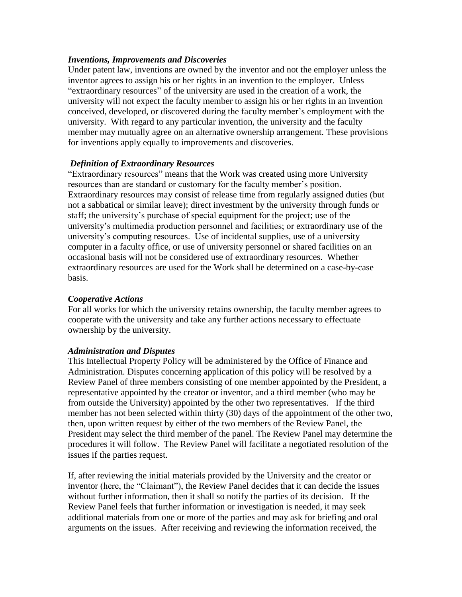## *Inventions, Improvements and Discoveries*

Under patent law, inventions are owned by the inventor and not the employer unless the inventor agrees to assign his or her rights in an invention to the employer. Unless "extraordinary resources" of the university are used in the creation of a work, the university will not expect the faculty member to assign his or her rights in an invention conceived, developed, or discovered during the faculty member's employment with the university. With regard to any particular invention, the university and the faculty member may mutually agree on an alternative ownership arrangement. These provisions for inventions apply equally to improvements and discoveries.

### *Definition of Extraordinary Resources*

"Extraordinary resources" means that the Work was created using more University resources than are standard or customary for the faculty member's position. Extraordinary resources may consist of release time from regularly assigned duties (but not a sabbatical or similar leave); direct investment by the university through funds or staff; the university's purchase of special equipment for the project; use of the university's multimedia production personnel and facilities; or extraordinary use of the university's computing resources. Use of incidental supplies, use of a university computer in a faculty office, or use of university personnel or shared facilities on an occasional basis will not be considered use of extraordinary resources. Whether extraordinary resources are used for the Work shall be determined on a case-by-case basis.

### *Cooperative Actions*

For all works for which the university retains ownership, the faculty member agrees to cooperate with the university and take any further actions necessary to effectuate ownership by the university.

#### *Administration and Disputes*

This Intellectual Property Policy will be administered by the Office of Finance and Administration. Disputes concerning application of this policy will be resolved by a Review Panel of three members consisting of one member appointed by the President, a representative appointed by the creator or inventor, and a third member (who may be from outside the University) appointed by the other two representatives. If the third member has not been selected within thirty (30) days of the appointment of the other two, then, upon written request by either of the two members of the Review Panel, the President may select the third member of the panel. The Review Panel may determine the procedures it will follow. The Review Panel will facilitate a negotiated resolution of the issues if the parties request.

If, after reviewing the initial materials provided by the University and the creator or inventor (here, the "Claimant"), the Review Panel decides that it can decide the issues without further information, then it shall so notify the parties of its decision. If the Review Panel feels that further information or investigation is needed, it may seek additional materials from one or more of the parties and may ask for briefing and oral arguments on the issues. After receiving and reviewing the information received, the